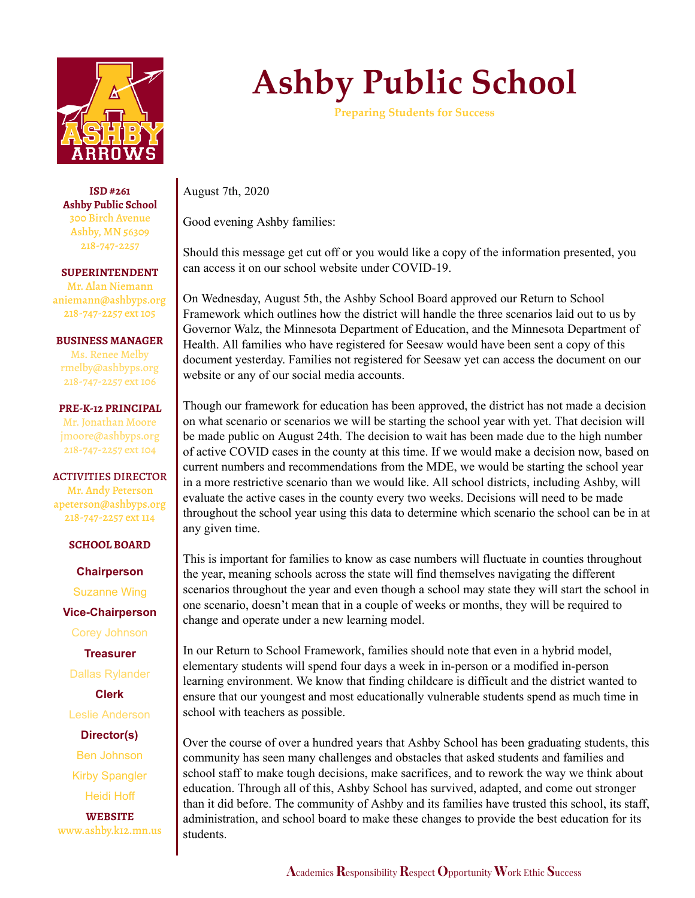

**ISD #261 Ashby Public School** 300 Birch Avenue Ashby, MN 56309 218-747-2257

**SUPERINTENDENT** Mr. Alan Niemann aniemann@ashbyps.org 218-747-2257 ext 105

**BUSINESS MANAGER** Ms. Renee Melby rmelby@ashbyps.org 218-747-2257 ext 106

**PRE-K-12 PRINCIPAL** Mr. Jonathan Moore jmoore@ashbyps.org 218-747-2257 ext 104

ACTIVITIES DIRECTOR Mr. Andy Peterson apeterson@ashbyps.org 218-747-2257 ext 114

## **SCHOOL BOARD**

**Chairperson** Suzanne Wing **Vice-Chairperson**

Corey Johnson

**Treasurer**

Dallas Rylander

**Clerk**

Leslie Anderson

**Director(s)** Ben Johnson Kirby Spangler Heidi Hoff

**WEBSITE** www.ashby.k12.mn.us

## **Ashby Public School**

**Preparing Students for Success**

August 7th, 2020

Good evening Ashby families:

Should this message get cut off or you would like a copy of the information presented, you can access it on our school website under COVID-19.

On Wednesday, August 5th, the Ashby School Board approved our Return to School Framework which outlines how the district will handle the three scenarios laid out to us by Governor Walz, the Minnesota Department of Education, and the Minnesota Department of Health. All families who have registered for Seesaw would have been sent a copy of this document yesterday. Families not registered for Seesaw yet can access the document on our website or any of our social media accounts.

Though our framework for education has been approved, the district has not made a decision on what scenario or scenarios we will be starting the school year with yet. That decision will be made public on August 24th. The decision to wait has been made due to the high number of active COVID cases in the county at this time. If we would make a decision now, based on current numbers and recommendations from the MDE, we would be starting the school year in a more restrictive scenario than we would like. All school districts, including Ashby, will evaluate the active cases in the county every two weeks. Decisions will need to be made throughout the school year using this data to determine which scenario the school can be in at any given time.

This is important for families to know as case numbers will fluctuate in counties throughout the year, meaning schools across the state will find themselves navigating the different scenarios throughout the year and even though a school may state they will start the school in one scenario, doesn't mean that in a couple of weeks or months, they will be required to change and operate under a new learning model.

In our Return to School Framework, families should note that even in a hybrid model, elementary students will spend four days a week in in-person or a modified in-person learning environment. We know that finding childcare is difficult and the district wanted to ensure that our youngest and most educationally vulnerable students spend as much time in school with teachers as possible.

Over the course of over a hundred years that Ashby School has been graduating students, this community has seen many challenges and obstacles that asked students and families and school staff to make tough decisions, make sacrifices, and to rework the way we think about education. Through all of this, Ashby School has survived, adapted, and come out stronger than it did before. The community of Ashby and its families have trusted this school, its staff, administration, and school board to make these changes to provide the best education for its students.